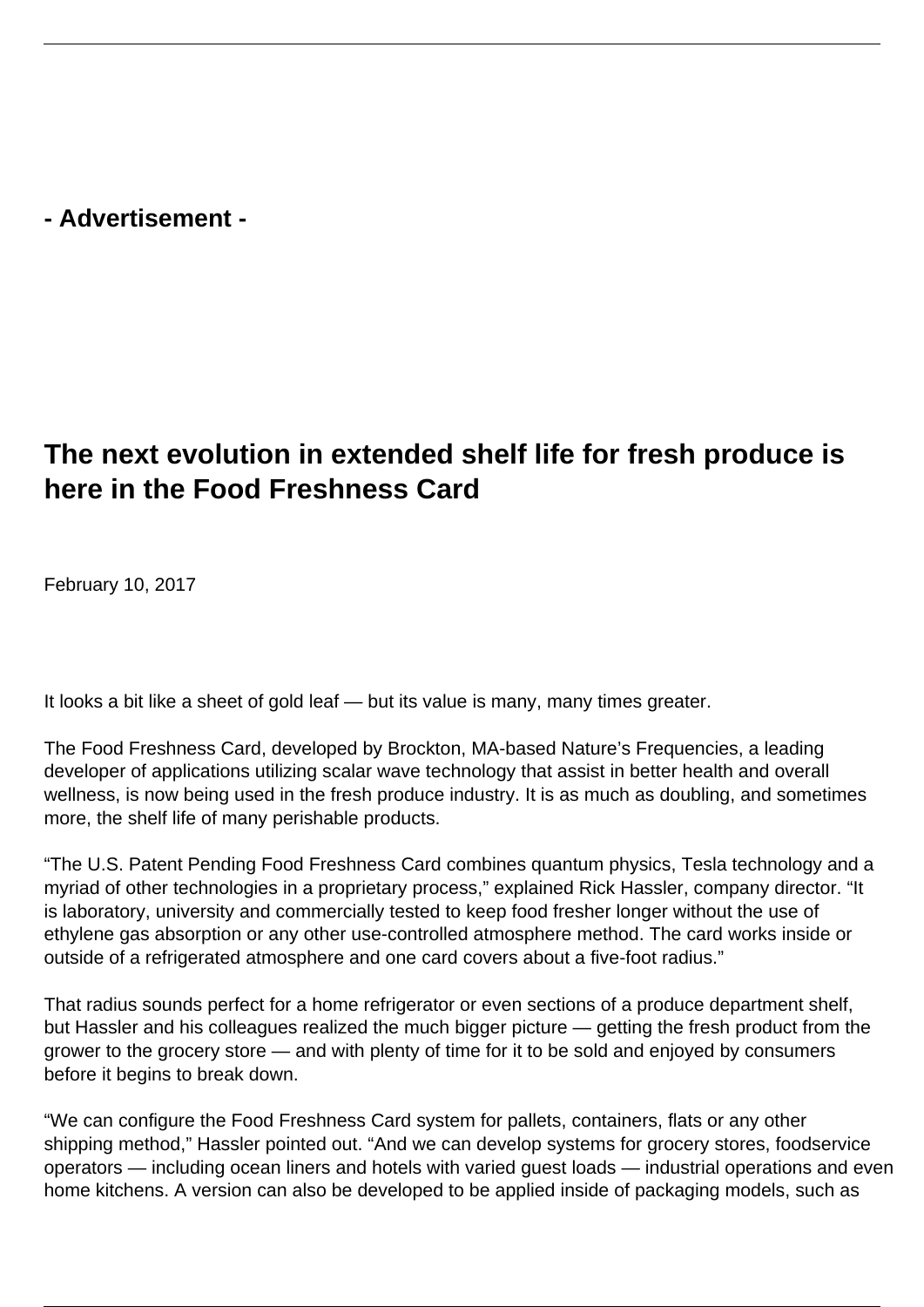**- Advertisement -**

## **The next evolution in extended shelf life for fresh produce is here in the Food Freshness Card**

February 10, 2017

It looks a bit like a sheet of gold leaf — but its value is many, many times greater.

The Food Freshness Card, developed by Brockton, MA-based Nature's Frequencies, a leading developer of applications utilizing scalar wave technology that assist in better health and overall wellness, is now being used in the fresh produce industry. It is as much as doubling, and sometimes more, the shelf life of many perishable products.

"The U.S. Patent Pending Food Freshness Card combines quantum physics, Tesla technology and a myriad of other technologies in a proprietary process," explained Rick Hassler, company director. "It is laboratory, university and commercially tested to keep food fresher longer without the use of ethylene gas absorption or any other use-controlled atmosphere method. The card works inside or outside of a refrigerated atmosphere and one card covers about a five-foot radius."

That radius sounds perfect for a home refrigerator or even sections of a produce department shelf, but Hassler and his colleagues realized the much bigger picture — getting the fresh product from the grower to the grocery store — and with plenty of time for it to be sold and enjoyed by consumers before it begins to break down.

"We can configure the Food Freshness Card system for pallets, containers, flats or any other shipping method," Hassler pointed out. "And we can develop systems for grocery stores, foodservice operators — including ocean liners and hotels with varied guest loads — industrial operations and even home kitchens. A version can also be developed to be applied inside of packaging models, such as